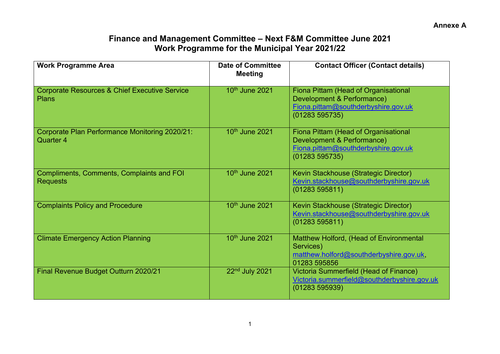## **Finance and Management Committee – Next F&M Committee June 2021 Work Programme for the Municipal Year 2021/22**

| <b>Work Programme Area</b>                                               | <b>Date of Committee</b><br><b>Meeting</b> | <b>Contact Officer (Contact details)</b>                                                                                   |
|--------------------------------------------------------------------------|--------------------------------------------|----------------------------------------------------------------------------------------------------------------------------|
| <b>Corporate Resources &amp; Chief Executive Service</b><br><b>Plans</b> | 10th June 2021                             | Fiona Pittam (Head of Organisational<br>Development & Performance)<br>Fiona.pittam@southderbyshire.gov.uk<br>(01283595735) |
| Corporate Plan Performance Monitoring 2020/21:<br>Quarter 4              | 10 <sup>th</sup> June 2021                 | Fiona Pittam (Head of Organisational<br>Development & Performance)<br>Fiona.pittam@southderbyshire.gov.uk<br>(01283595735) |
| <b>Compliments, Comments, Complaints and FOI</b><br><b>Requests</b>      | 10 <sup>th</sup> June 2021                 | Kevin Stackhouse (Strategic Director)<br>Kevin.stackhouse@southderbyshire.gov.uk<br>(01283595811)                          |
| <b>Complaints Policy and Procedure</b>                                   | 10 <sup>th</sup> June 2021                 | Kevin Stackhouse (Strategic Director)<br>Kevin.stackhouse@southderbyshire.gov.uk<br>(01283595811)                          |
| <b>Climate Emergency Action Planning</b>                                 | 10 <sup>th</sup> June 2021                 | Matthew Holford, (Head of Environmental<br>Services)<br>matthew.holford@southderbyshire.gov.uk,<br>01283 595856            |
| <b>Final Revenue Budget Outturn 2020/21</b>                              | 22nd July 2021                             | Victoria Summerfield (Head of Finance)<br>Victoria.summerfield@southderbyshire.gov.uk<br>(01283595939)                     |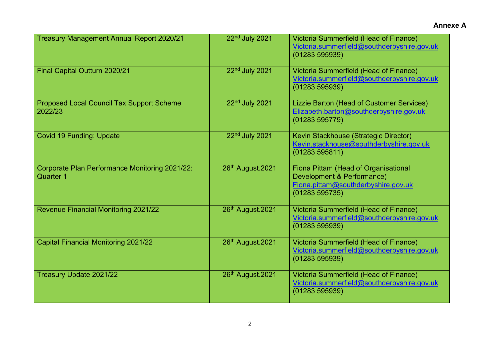| <b>Treasury Management Annual Report 2020/21</b>            | 22nd July 2021   | Victoria Summerfield (Head of Finance)<br>Victoria.summerfield@southderbyshire.gov.uk<br>(01283595939)                     |
|-------------------------------------------------------------|------------------|----------------------------------------------------------------------------------------------------------------------------|
| Final Capital Outturn 2020/21                               | 22nd July 2021   | Victoria Summerfield (Head of Finance)<br>Victoria.summerfield@southderbyshire.gov.uk<br>(01283595939)                     |
| <b>Proposed Local Council Tax Support Scheme</b><br>2022/23 | 22nd July 2021   | Lizzie Barton (Head of Customer Services)<br>Elizabeth.barton@southderbyshire.gov.uk<br>(01283 595779)                     |
| <b>Covid 19 Funding: Update</b>                             | 22nd July 2021   | Kevin Stackhouse (Strategic Director)<br>Kevin.stackhouse@southderbyshire.gov.uk<br>(01283595811)                          |
| Corporate Plan Performance Monitoring 2021/22:<br>Quarter 1 | 26th August.2021 | Fiona Pittam (Head of Organisational<br>Development & Performance)<br>Fiona.pittam@southderbyshire.gov.uk<br>(01283595735) |
| <b>Revenue Financial Monitoring 2021/22</b>                 | 26th August.2021 | Victoria Summerfield (Head of Finance)<br>Victoria.summerfield@southderbyshire.gov.uk<br>(01283595939)                     |
| <b>Capital Financial Monitoring 2021/22</b>                 | 26th August.2021 | Victoria Summerfield (Head of Finance)<br>Victoria.summerfield@southderbyshire.gov.uk<br>(01283595939)                     |
| Treasury Update 2021/22                                     | 26th August.2021 | Victoria Summerfield (Head of Finance)<br>Victoria.summerfield@southderbyshire.gov.uk<br>(01283595939)                     |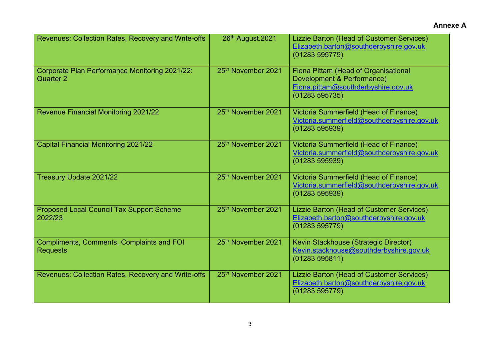| Revenues: Collection Rates, Recovery and Write-offs                 | 26th August.2021               | Lizzie Barton (Head of Customer Services)<br>Elizabeth.barton@southderbyshire.gov.uk<br>(01283595779)                      |
|---------------------------------------------------------------------|--------------------------------|----------------------------------------------------------------------------------------------------------------------------|
| <b>Corporate Plan Performance Monitoring 2021/22:</b><br>Quarter 2  | 25th November 2021             | Fiona Pittam (Head of Organisational<br>Development & Performance)<br>Fiona.pittam@southderbyshire.gov.uk<br>(01283595735) |
| <b>Revenue Financial Monitoring 2021/22</b>                         | 25th November 2021             | Victoria Summerfield (Head of Finance)<br>Victoria.summerfield@southderbyshire.gov.uk<br>(01283595939)                     |
| <b>Capital Financial Monitoring 2021/22</b>                         | 25 <sup>th</sup> November 2021 | Victoria Summerfield (Head of Finance)<br>Victoria.summerfield@southderbyshire.gov.uk<br>(01283595939)                     |
| Treasury Update 2021/22                                             | 25th November 2021             | Victoria Summerfield (Head of Finance)<br>Victoria.summerfield@southderbyshire.gov.uk<br>(01283595939)                     |
| <b>Proposed Local Council Tax Support Scheme</b><br>2022/23         | 25th November 2021             | Lizzie Barton (Head of Customer Services)<br>Elizabeth.barton@southderbyshire.gov.uk<br>(01283 595779)                     |
| <b>Compliments, Comments, Complaints and FOI</b><br><b>Requests</b> | 25th November 2021             | Kevin Stackhouse (Strategic Director)<br>Kevin.stackhouse@southderbyshire.gov.uk<br>(01283595811)                          |
| <b>Revenues: Collection Rates, Recovery and Write-offs</b>          | 25 <sup>th</sup> November 2021 | Lizzie Barton (Head of Customer Services)<br>Elizabeth.barton@southderbyshire.gov.uk<br>(01283 595779)                     |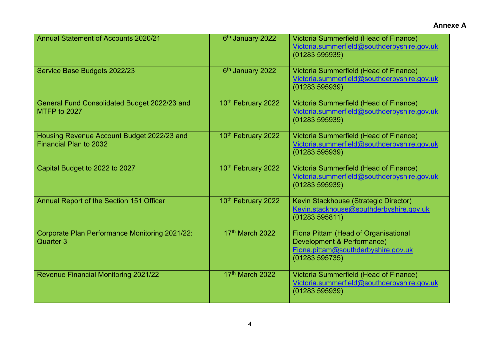| Annual Statement of Accounts 2020/21                                 | 6 <sup>th</sup> January 2022 | Victoria Summerfield (Head of Finance)<br>Victoria.summerfield@southderbyshire.gov.uk<br>(01283 595939)                    |
|----------------------------------------------------------------------|------------------------------|----------------------------------------------------------------------------------------------------------------------------|
| Service Base Budgets 2022/23                                         | 6 <sup>th</sup> January 2022 | Victoria Summerfield (Head of Finance)<br>Victoria.summerfield@southderbyshire.gov.uk<br>(01283595939)                     |
| General Fund Consolidated Budget 2022/23 and<br>MTFP to 2027         | 10th February 2022           | Victoria Summerfield (Head of Finance)<br>Victoria.summerfield@southderbyshire.gov.uk<br>(01283595939)                     |
| Housing Revenue Account Budget 2022/23 and<br>Financial Plan to 2032 | 10th February 2022           | Victoria Summerfield (Head of Finance)<br>Victoria.summerfield@southderbyshire.gov.uk<br>(01283595939)                     |
| Capital Budget to 2022 to 2027                                       | 10th February 2022           | Victoria Summerfield (Head of Finance)<br>Victoria.summerfield@southderbyshire.gov.uk<br>(01283595939)                     |
| Annual Report of the Section 151 Officer                             | 10th February 2022           | Kevin Stackhouse (Strategic Director)<br>Kevin.stackhouse@southderbyshire.gov.uk<br>(01283595811)                          |
| Corporate Plan Performance Monitoring 2021/22:<br>Quarter 3          | 17th March 2022              | Fiona Pittam (Head of Organisational<br>Development & Performance)<br>Fiona.pittam@southderbyshire.gov.uk<br>(01283595735) |
| <b>Revenue Financial Monitoring 2021/22</b>                          | 17th March 2022              | Victoria Summerfield (Head of Finance)<br>Victoria.summerfield@southderbyshire.gov.uk<br>(01283595939)                     |